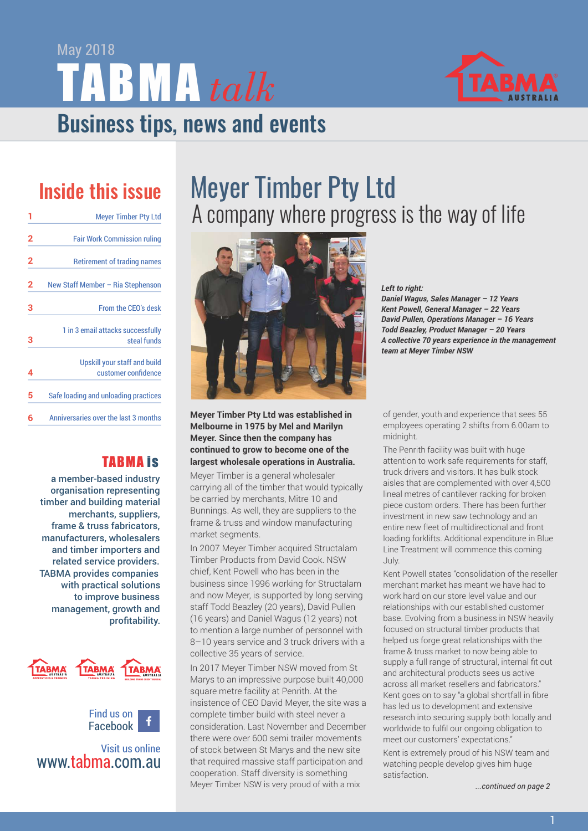Business tips, news and events TABMA *talk* May 2018



## Inside this issue

| 1              | <b>Meyer Timber Pty Ltd</b>                         |
|----------------|-----------------------------------------------------|
| $\overline{2}$ | <b>Fair Work Commission ruling</b>                  |
| $\overline{2}$ | <b>Retirement of trading names</b>                  |
| 2              | New Staff Member - Ria Stephenson                   |
| 3              | From the CEO's desk                                 |
| 3              | 1 in 3 email attacks successfully<br>steal funds    |
| 4              | Upskill your staff and build<br>customer confidence |
| 5              | Safe loading and unloading practices                |
| 6              | Anniversaries over the last 3 months                |

#### TABMA is

a member-based industry organisation representing timber and building material merchants, suppliers, frame & truss fabricators, manufacturers, wholesalers and timber importers and related service providers. TABMA provides companies with practical solutions to improve business management, growth and profitability.





Visit us online www.tabma.com.au

## Meyer Timber Pty Ltd A company where progress is the way of life



**Meyer Timber Pty Ltd was established in Melbourne in 1975 by Mel and Marilyn Meyer. Since then the company has continued to grow to become one of the largest wholesale operations in Australia.** 

Meyer Timber is a general wholesaler carrying all of the timber that would typically be carried by merchants, Mitre 10 and Bunnings. As well, they are suppliers to the frame & truss and window manufacturing market segments.

In 2007 Meyer Timber acquired Structalam Timber Products from David Cook. NSW chief, Kent Powell who has been in the business since 1996 working for Structalam and now Meyer, is supported by long serving staff Todd Beazley (20 years), David Pullen (16 years) and Daniel Wagus (12 years) not to mention a large number of personnel with 8–10 years service and 3 truck drivers with a collective 35 years of service.

In 2017 Meyer Timber NSW moved from St Marys to an impressive purpose built 40,000 square metre facility at Penrith. At the insistence of CEO David Meyer, the site was a complete timber build with steel never a consideration. Last November and December there were over 600 semi trailer movements of stock between St Marys and the new site that required massive staff participation and cooperation. Staff diversity is something Meyer Timber NSW is very proud of with a mix

*Left to right: Daniel Wagus, Sales Manager – 12 Years Kent Powell, General Manager – 22 Years David Pullen, Operations Manager – 16 Years Todd Beazley, Product Manager – 20 Years A collective 70 years experience in the management team at Meyer Timber NSW*

of gender, youth and experience that sees 55 employees operating 2 shifts from 6.00am to midnight.

The Penrith facility was built with huge attention to work safe requirements for staff, truck drivers and visitors. It has bulk stock aisles that are complemented with over 4,500 lineal metres of cantilever racking for broken piece custom orders. There has been further investment in new saw technology and an entire new fleet of multidirectional and front loading forklifts. Additional expenditure in Blue Line Treatment will commence this coming July.

Kent Powell states "consolidation of the reseller merchant market has meant we have had to work hard on our store level value and our relationships with our established customer base. Evolving from a business in NSW heavily focused on structural timber products that helped us forge great relationships with the frame & truss market to now being able to supply a full range of structural, internal fit out and architectural products sees us active across all market resellers and fabricators." Kent goes on to say "a global shortfall in fibre has led us to development and extensive research into securing supply both locally and worldwide to fulfil our ongoing obligation to meet our customers' expectations."

Kent is extremely proud of his NSW team and watching people develop gives him huge satisfaction.

*...continued on page 2*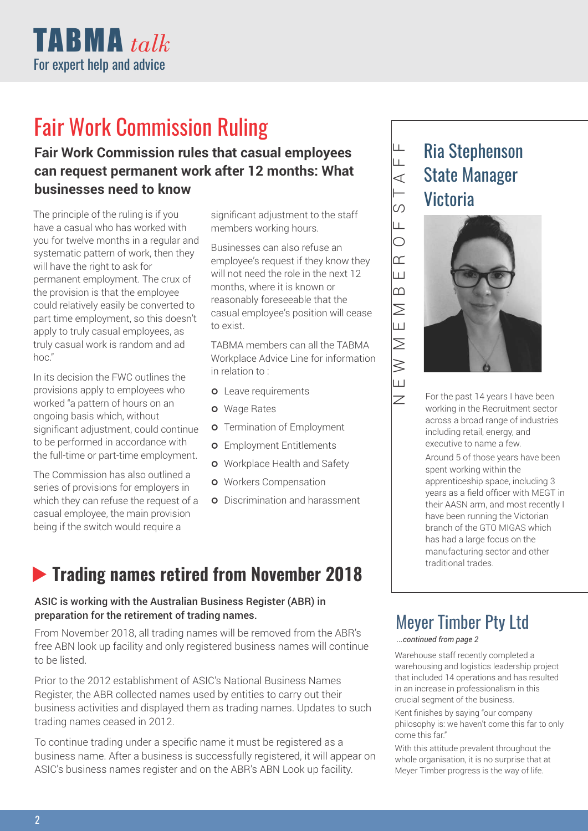

## Fair Work Commission Ruling

### **Fair Work Commission rules that casual employees can request permanent work after 12 months: What businesses need to know**

The principle of the ruling is if you have a casual who has worked with you for twelve months in a regular and systematic pattern of work, then they will have the right to ask for permanent employment. The crux of the provision is that the employee could relatively easily be converted to part time employment, so this doesn't apply to truly casual employees, as truly casual work is random and ad hoc."

In its decision the FWC outlines the provisions apply to employees who worked "a pattern of hours on an ongoing basis which, without significant adjustment, could continue to be performed in accordance with the full-time or part-time employment.

The Commission has also outlined a series of provisions for employers in which they can refuse the request of a casual employee, the main provision being if the switch would require a

significant adjustment to the staff members working hours.

Businesses can also refuse an employee's request if they know they will not need the role in the next 12 months, where it is known or reasonably foreseeable that the casual employee's position will cease to exist.

TABMA members can all the TABMA Workplace Advice Line for information in relation to :

- **o** Leave requirements
- **o** Wage Rates
- **o** Termination of Employment
- **o** Employment Entitlements
- **o** Workplace Health and Safety
- **o** Workers Compensation
- **o** Discrimination and harassment

### **Fig. 3.18 Trading names retired from November 2018**

#### ASIC is working with the Australian Business Register (ABR) in preparation for the retirement of trading names.

From November 2018, all trading names will be removed from the ABR's free ABN look up facility and only registered business names will continue to be listed.

Prior to the 2012 establishment of ASIC's National Business Names Register, the ABR collected names used by entities to carry out their business activities and displayed them as trading names. Updates to such trading names ceased in 2012.

To continue trading under a specific name it must be registered as a business name. After a business is successfully registered, it will appear on ASIC's business names register and on the ABR's ABN Look up facility.

### Ria Stephenson State Manager **Victoria**



For the past 14 years I have been working in the Recruitment sector across a broad range of industries including retail, energy, and executive to name a few.

Around 5 of those years have been spent working within the apprenticeship space, including 3 years as a field officer with MEGT in their AASN arm, and most recently I have been running the Victorian branch of the GTO MIGAS which has had a large focus on the manufacturing sector and other traditional trades.

### Meyer Timber Pty Ltd

#### *...continued from page 2*

 $\overline{z}$  $\Box$  $\geqslant$ 

 $\geq$  $\Box$  $\overline{\geq}$  $\overline{m}$ 

 $\mathbb{E}$ 

 $\overline{S}$  $\vdash$  $\prec$  $\overline{\mathsf{F}}$  $\perp$ 

Warehouse staff recently completed a warehousing and logistics leadership project that included 14 operations and has resulted in an increase in professionalism in this crucial segment of the business.

Kent finishes by saying "our company philosophy is: we haven't come this far to only come this far."

With this attitude prevalent throughout the whole organisation, it is no surprise that at Meyer Timber progress is the way of life.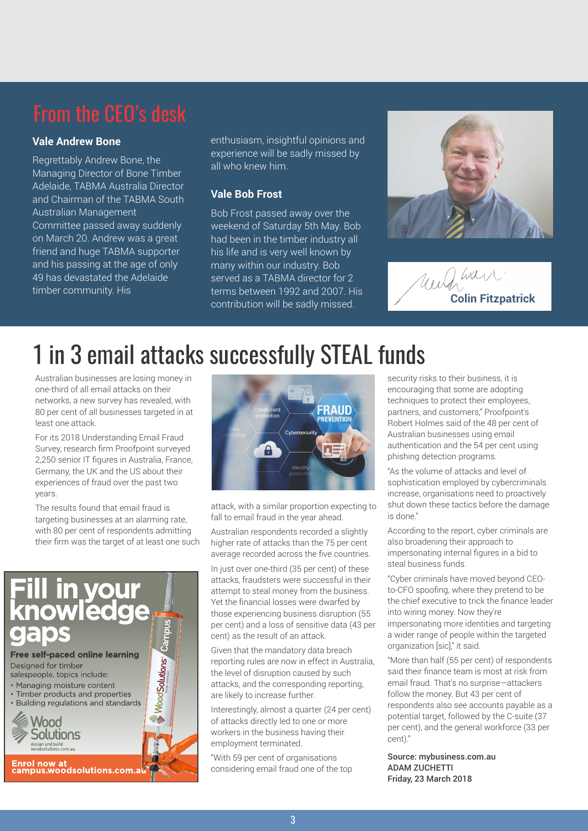#### **Vale Andrew Bone**

Regrettably Andrew Bone, the Managing Director of Bone Timber Adelaide, TABMA Australia Director and Chairman of the TABMA South Australian Management Committee passed away suddenly on March 20. Andrew was a great friend and huge TABMA supporter and his passing at the age of only 49 has devastated the Adelaide timber community. His

enthusiasm, insightful opinions and experience will be sadly missed by all who knew him.

#### **Vale Bob Frost**

Bob Frost passed away over the weekend of Saturday 5th May. Bob had been in the timber industry all his life and is very well known by many within our industry. Bob served as a TABMA director for 2 terms between 1992 and 2007. His contribution will be sadly missed.



 $\mu a_1$ **Colin Fitzpatrick**

## 1 in 3 email attacks successfully STEAL funds

Australian businesses are losing money in one-third of all email attacks on their networks, a new survey has revealed, with 80 per cent of all businesses targeted in at least one attack.

For its 2018 Understanding Email Fraud Survey, research firm Proofpoint surveyed 2,250 senior IT figures in Australia, France, Germany, the UK and the US about their experiences of fraud over the past two years.

The results found that email fraud is targeting businesses at an alarming rate, with 80 per cent of respondents admitting their firm was the target of at least one such





attack, with a similar proportion expecting to fall to email fraud in the year ahead.

Australian respondents recorded a slightly higher rate of attacks than the 75 per cent average recorded across the five countries.

In just over one-third (35 per cent) of these attacks, fraudsters were successful in their attempt to steal money from the business. Yet the financial losses were dwarfed by those experiencing business disruption (55 per cent) and a loss of sensitive data (43 per cent) as the result of an attack.

Given that the mandatory data breach reporting rules are now in effect in Australia, the level of disruption caused by such attacks, and the corresponding reporting, are likely to increase further.

Interestingly, almost a quarter (24 per cent) of attacks directly led to one or more workers in the business having their employment terminated.

"With 59 per cent of organisations considering email fraud one of the top security risks to their business, it is encouraging that some are adopting techniques to protect their employees, partners, and customers," Proofpoint's Robert Holmes said of the 48 per cent of Australian businesses using email authentication and the 54 per cent using phishing detection programs.

"As the volume of attacks and level of sophistication employed by cybercriminals increase, organisations need to proactively shut down these tactics before the damage is done."

According to the report, cyber criminals are also broadening their approach to impersonating internal figures in a bid to steal business funds.

"Cyber criminals have moved beyond CEOto-CFO spoofing, where they pretend to be the chief executive to trick the finance leader into wiring money. Now they're impersonating more identities and targeting a wider range of people within the targeted organization [sic]," it said.

"More than half (55 per cent) of respondents said their finance team is most at risk from email fraud. That's no surprise—attackers follow the money. But 43 per cent of respondents also see accounts payable as a potential target, followed by the C-suite (37 per cent), and the general workforce (33 per cent)."

Source: mybusiness.com.au ADAM ZUCHETTI Friday, 23 March 2018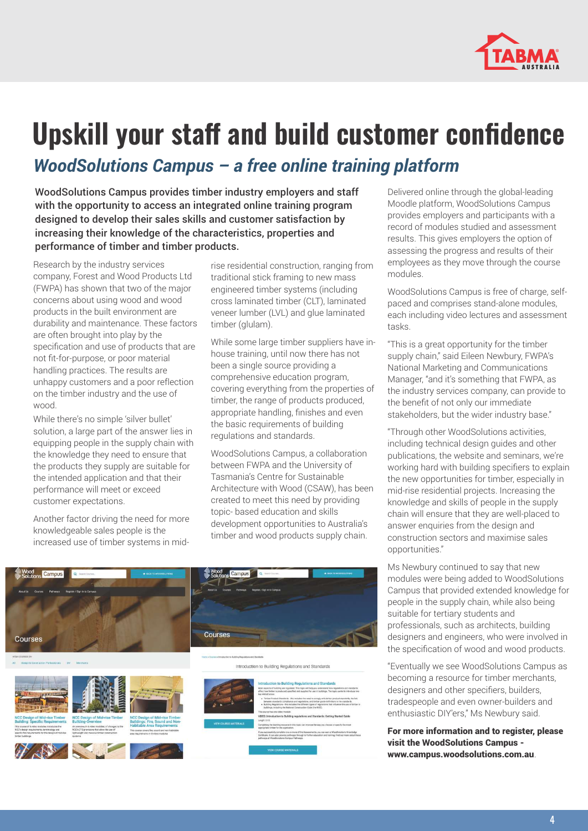

# **Upskill your staff and build customer confidence**

*WoodSolutions Campus – a free online training platform*

WoodSolutions Campus provides timber industry employers and staff with the opportunity to access an integrated online training program designed to develop their sales skills and customer satisfaction by increasing their knowledge of the characteristics, properties and performance of timber and timber products.

Research by the industry services company, Forest and Wood Products Ltd (FWPA) has shown that two of the major concerns about using wood and wood products in the built environment are durability and maintenance. These factors are often brought into play by the specification and use of products that are not fit-for-purpose, or poor material handling practices. The results are unhappy customers and a poor reflection on the timber industry and the use of wood.

While there's no simple 'silver bullet' solution, a large part of the answer lies in equipping people in the supply chain with the knowledge they need to ensure that the products they supply are suitable for the intended application and that their performance will meet or exceed customer expectations.

Another factor driving the need for more knowledgeable sales people is the increased use of timber systems in mid-

rise residential construction, ranging from traditional stick framing to new mass engineered timber systems (including cross laminated timber (CLT), laminated veneer lumber (LVL) and glue laminated timber (glulam).

While some large timber suppliers have inhouse training, until now there has not been a single source providing a comprehensive education program, covering everything from the properties of timber, the range of products produced, appropriate handling, finishes and even the basic requirements of building regulations and standards.

WoodSolutions Campus, a collaboration between FWPA and the University of Tasmania's Centre for Sustainable Architecture with Wood (CSAW), has been created to meet this need by providing topic- based education and skills development opportunities to Australia's timber and wood products supply chain.





Delivered online through the global-leading Moodle platform, WoodSolutions Campus provides employers and participants with a record of modules studied and assessment results. This gives employers the option of assessing the progress and results of their employees as they move through the course modules.

WoodSolutions Campus is free of charge, selfpaced and comprises stand-alone modules, each including video lectures and assessment tasks.

"This is a great opportunity for the timber supply chain," said Eileen Newbury, FWPA's National Marketing and Communications Manager, "and it's something that FWPA, as the industry services company, can provide to the benefit of not only our immediate stakeholders, but the wider industry base."

"Through other WoodSolutions activities, including technical design guides and other publications, the website and seminars, we're working hard with building specifiers to explain the new opportunities for timber, especially in mid-rise residential projects. Increasing the knowledge and skills of people in the supply chain will ensure that they are well-placed to answer enquiries from the design and construction sectors and maximise sales opportunities."

Ms Newbury continued to say that new modules were being added to WoodSolutions Campus that provided extended knowledge for people in the supply chain, while also being suitable for tertiary students and professionals, such as architects, building designers and engineers, who were involved in the specification of wood and wood products.

"Eventually we see WoodSolutions Campus as becoming a resource for timber merchants, designers and other specifiers, builders, tradespeople and even owner-builders and enthusiastic DIY'ers," Ms Newbury said.

For more information and to register, please visit the WoodSolutions Campus www.campus.woodsolutions.com.au.

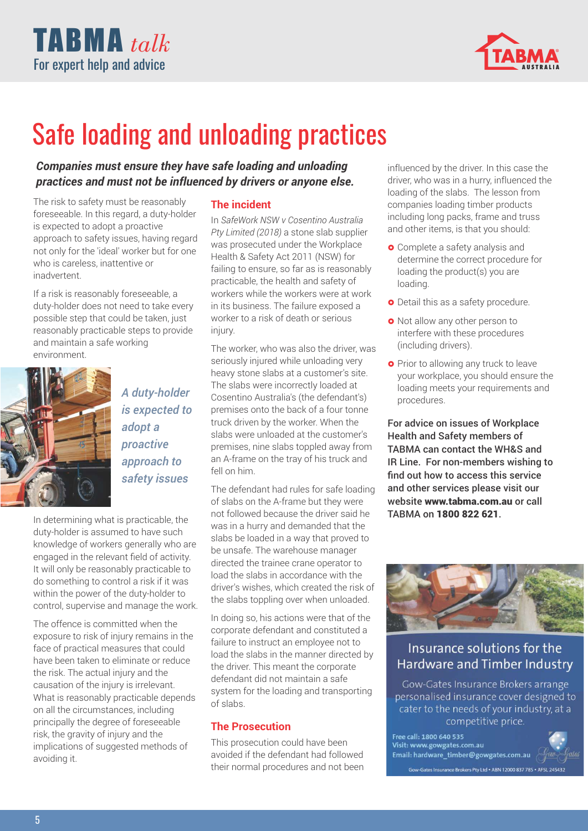



## Safe loading and unloading practices

#### *Companies must ensure they have safe loading and unloading practices and must not be influenced by drivers or anyone else.*

The risk to safety must be reasonably foreseeable. In this regard, a duty-holder is expected to adopt a proactive approach to safety issues, having regard not only for the 'ideal' worker but for one who is careless, inattentive or inadvertent.

If a risk is reasonably foreseeable, a duty-holder does not need to take every possible step that could be taken, just reasonably practicable steps to provide and maintain a safe working environment.



*A duty-holder is expected to adopt a proactive approach to safety issues*

In determining what is practicable, the duty-holder is assumed to have such knowledge of workers generally who are engaged in the relevant field of activity. It will only be reasonably practicable to do something to control a risk if it was within the power of the duty-holder to control, supervise and manage the work.

The offence is committed when the exposure to risk of injury remains in the face of practical measures that could have been taken to eliminate or reduce the risk. The actual injury and the causation of the injury is irrelevant. What is reasonably practicable depends on all the circumstances, including principally the degree of foreseeable risk, the gravity of injury and the implications of suggested methods of avoiding it.

#### **The incident**

In *SafeWork NSW v Cosentino Australia Pty Limited (2018)* a stone slab supplier was prosecuted under the Workplace Health & Safety Act 2011 (NSW) for failing to ensure, so far as is reasonably practicable, the health and safety of workers while the workers were at work in its business. The failure exposed a worker to a risk of death or serious injury.

The worker, who was also the driver, was seriously injured while unloading very heavy stone slabs at a customer's site. The slabs were incorrectly loaded at Cosentino Australia's (the defendant's) premises onto the back of a four tonne truck driven by the worker. When the slabs were unloaded at the customer's premises, nine slabs toppled away from an A-frame on the tray of his truck and fell on him.

The defendant had rules for safe loading of slabs on the A-frame but they were not followed because the driver said he was in a hurry and demanded that the slabs be loaded in a way that proved to be unsafe. The warehouse manager directed the trainee crane operator to load the slabs in accordance with the driver's wishes, which created the risk of the slabs toppling over when unloaded.

In doing so, his actions were that of the corporate defendant and constituted a failure to instruct an employee not to load the slabs in the manner directed by the driver. This meant the corporate defendant did not maintain a safe system for the loading and transporting of slabs.

#### **The Prosecution**

This prosecution could have been avoided if the defendant had followed their normal procedures and not been influenced by the driver. In this case the driver, who was in a hurry, influenced the loading of the slabs. The lesson from companies loading timber products including long packs, frame and truss and other items, is that you should:

- **•** Complete a safety analysis and determine the correct procedure for loading the product(s) you are loading.
- **•** Detail this as a safety procedure.
- Not allow any other person to interfere with these procedures (including drivers).
- **•** Prior to allowing any truck to leave your workplace, you should ensure the loading meets your requirements and procedures.

For advice on issues of Workplace Health and Safety members of TABMA can contact the WH&S and IR Line. For non-members wishing to find out how to access this service and other services please visit our website www.tabma.com.au or call TABMA on 1800 822 621.



#### Insurance solutions for the Hardware and Timber Industry

Gow-Gates Insurance Brokers arrange personalised insurance cover designed to cater to the needs of your industry, at a competitive price.

Free call: 1800 640 535 Visit: www.gowgates.com.au Email: hardware\_timber@gowgates.com.au Gow-Gates Insurance Brokers Pty Ltd + ABN 12000 837 785 + AFSL 245432